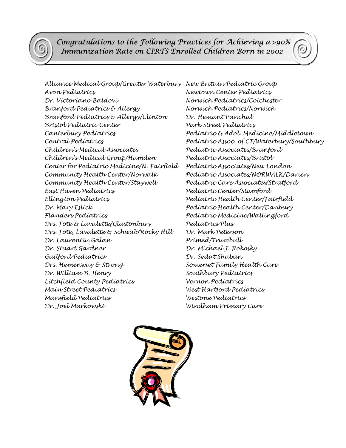*Congratulations to the Following Practices for Achieving a* >90%  *Immunization Rate on CIRTS Enrolled Children Born in 2002*

*Alliance Medical Group/Greater Waterbury New Britain Pediatric Group Avon Pediatrics Newtown Center Pediatrics Dr. Victoriano Baldovi Norwich Pediatrics/Colchester Branford Pediatrics & Allergy Norwich Pediatrics/Norwich Branford Pediatrics & Allergy/Clinton Dr. Hemant Panchal Bristol Pediatric Center Park Street Pediatrics Canterbury Pediatrics Pediatric & Adol. Medicine/Middletown Children's Medical Associates Pediatric Associates/Branford Children's Medical Group/Hamden Pediatric Associates/Bristol Center for Pediatric Medicine/N. Fairfield Pediatric Associates/New London Community Health Center/Norwalk Pediatric Associates/NORWALK/Darien Community Health Center/Staywell Pediatric Care Associates/Stratford East Haven Pediatrics Pediatric Center/Stamford Ellington Pediatrics Pediatric Health Center/Fairfield Dr. Mary Eslick Pediatric Health Center/Danbury Flanders Pediatrics Pediatric Medicine/Wallingford Drs. Fote & Lavalette/Glastonbury Pediatrics Plus Drs. Fote, Lavalette & Schwab/Rocky Hill Dr. Mark Peterson Dr. Laurentiu Galan Primed/Trumbull Dr. Stuart Gardner Dr. Michael J. Rokosky Guilford Pediatrics Dr. Sedat Shaban Drs. Hemenway & Strong Somerset Family Health Care*  Dr. William B. Henry Southbury Pediatrics *Litchfield County Pediatrics Vernon Pediatrics Main Street Pediatrics West Hartford Pediatrics Mansfield Pediatrics Westone Pediatrics Dr. Joel Markowski Windham Primary Care* 

*Central Pediatrics Pediatric Assoc. of CT/Waterbury/Southbury*